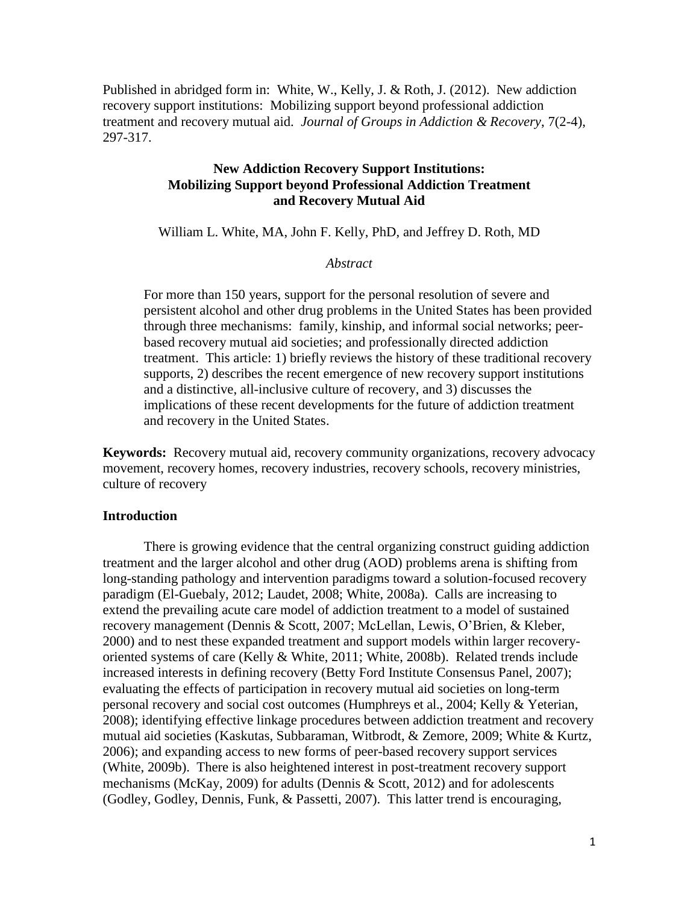Published in abridged form in: White, W., Kelly, J. & Roth, J. (2012). New addiction recovery support institutions: Mobilizing support beyond professional addiction treatment and recovery mutual aid. *Journal of Groups in Addiction & Recovery*, 7(2-4), 297-317.

# **New Addiction Recovery Support Institutions: Mobilizing Support beyond Professional Addiction Treatment and Recovery Mutual Aid**

William L. White, MA, John F. Kelly, PhD, and Jeffrey D. Roth, MD

## *Abstract*

For more than 150 years, support for the personal resolution of severe and persistent alcohol and other drug problems in the United States has been provided through three mechanisms: family, kinship, and informal social networks; peerbased recovery mutual aid societies; and professionally directed addiction treatment. This article: 1) briefly reviews the history of these traditional recovery supports, 2) describes the recent emergence of new recovery support institutions and a distinctive, all-inclusive culture of recovery, and 3) discusses the implications of these recent developments for the future of addiction treatment and recovery in the United States.

**Keywords:** Recovery mutual aid, recovery community organizations, recovery advocacy movement, recovery homes, recovery industries, recovery schools, recovery ministries, culture of recovery

## **Introduction**

There is growing evidence that the central organizing construct guiding addiction treatment and the larger alcohol and other drug (AOD) problems arena is shifting from long-standing pathology and intervention paradigms toward a solution-focused recovery paradigm (El-Guebaly, 2012; Laudet, 2008; White, 2008a). Calls are increasing to extend the prevailing acute care model of addiction treatment to a model of sustained recovery management (Dennis & Scott, 2007; McLellan, Lewis, O'Brien, & Kleber, 2000) and to nest these expanded treatment and support models within larger recoveryoriented systems of care (Kelly & White, 2011; White, 2008b). Related trends include increased interests in defining recovery (Betty Ford Institute Consensus Panel, 2007); evaluating the effects of participation in recovery mutual aid societies on long-term personal recovery and social cost outcomes (Humphreys et al., 2004; Kelly & Yeterian, 2008); identifying effective linkage procedures between addiction treatment and recovery mutual aid societies (Kaskutas, Subbaraman, Witbrodt, & Zemore, 2009; White & Kurtz, 2006); and expanding access to new forms of peer-based recovery support services (White, 2009b). There is also heightened interest in post-treatment recovery support mechanisms (McKay, 2009) for adults (Dennis & Scott, 2012) and for adolescents (Godley, Godley, Dennis, Funk, & Passetti, 2007). This latter trend is encouraging,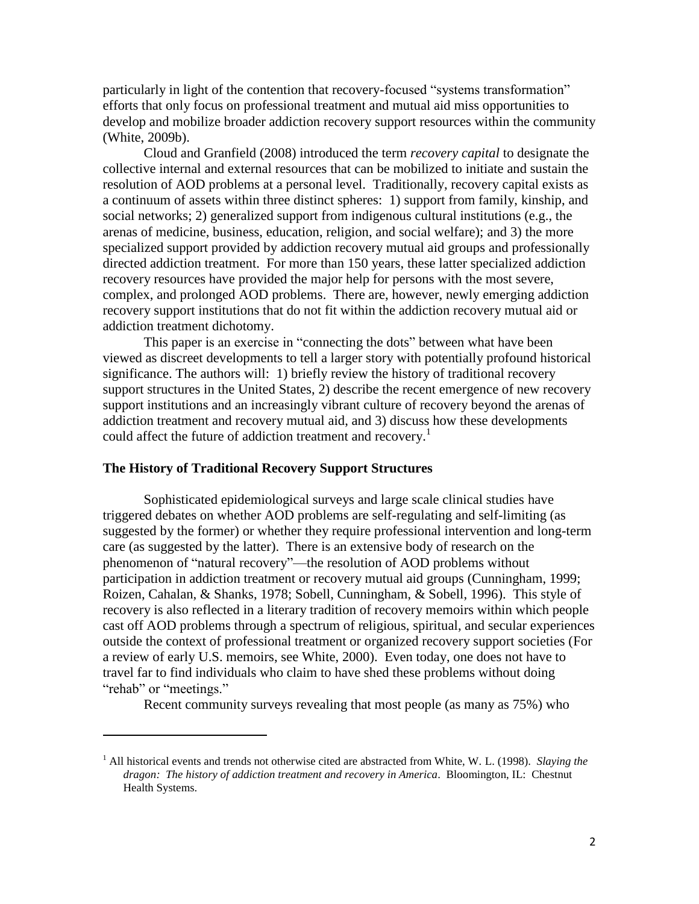particularly in light of the contention that recovery-focused "systems transformation" efforts that only focus on professional treatment and mutual aid miss opportunities to develop and mobilize broader addiction recovery support resources within the community (White, 2009b).

Cloud and Granfield (2008) introduced the term *recovery capital* to designate the collective internal and external resources that can be mobilized to initiate and sustain the resolution of AOD problems at a personal level. Traditionally, recovery capital exists as a continuum of assets within three distinct spheres: 1) support from family, kinship, and social networks; 2) generalized support from indigenous cultural institutions (e.g., the arenas of medicine, business, education, religion, and social welfare); and 3) the more specialized support provided by addiction recovery mutual aid groups and professionally directed addiction treatment. For more than 150 years, these latter specialized addiction recovery resources have provided the major help for persons with the most severe, complex, and prolonged AOD problems. There are, however, newly emerging addiction recovery support institutions that do not fit within the addiction recovery mutual aid or addiction treatment dichotomy.

This paper is an exercise in "connecting the dots" between what have been viewed as discreet developments to tell a larger story with potentially profound historical significance. The authors will: 1) briefly review the history of traditional recovery support structures in the United States, 2) describe the recent emergence of new recovery support institutions and an increasingly vibrant culture of recovery beyond the arenas of addiction treatment and recovery mutual aid, and 3) discuss how these developments could affect the future of addiction treatment and recovery.<sup>1</sup>

#### **The History of Traditional Recovery Support Structures**

 $\overline{\phantom{a}}$ 

Sophisticated epidemiological surveys and large scale clinical studies have triggered debates on whether AOD problems are self-regulating and self-limiting (as suggested by the former) or whether they require professional intervention and long-term care (as suggested by the latter). There is an extensive body of research on the phenomenon of "natural recovery"—the resolution of AOD problems without participation in addiction treatment or recovery mutual aid groups (Cunningham, 1999; Roizen, Cahalan, & Shanks, 1978; Sobell, Cunningham, & Sobell, 1996). This style of recovery is also reflected in a literary tradition of recovery memoirs within which people cast off AOD problems through a spectrum of religious, spiritual, and secular experiences outside the context of professional treatment or organized recovery support societies (For a review of early U.S. memoirs, see White, 2000). Even today, one does not have to travel far to find individuals who claim to have shed these problems without doing "rehab" or "meetings."

Recent community surveys revealing that most people (as many as 75%) who

<sup>1</sup> All historical events and trends not otherwise cited are abstracted from White, W. L. (1998). *Slaying the dragon: The history of addiction treatment and recovery in America*. Bloomington, IL: Chestnut Health Systems.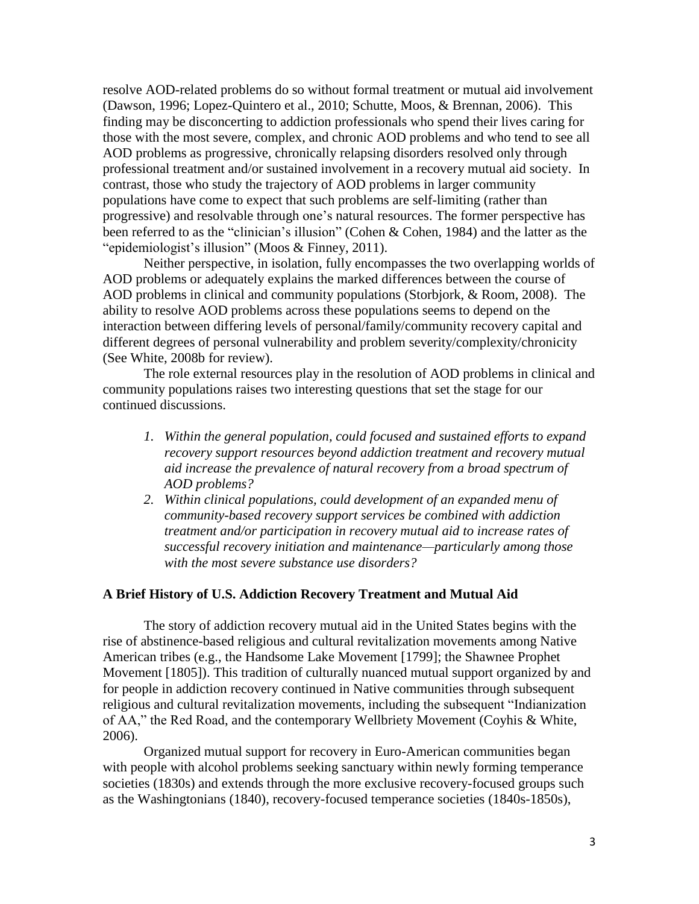resolve AOD-related problems do so without formal treatment or mutual aid involvement (Dawson, 1996; Lopez-Quintero et al., 2010; Schutte, Moos, & Brennan, 2006). This finding may be disconcerting to addiction professionals who spend their lives caring for those with the most severe, complex, and chronic AOD problems and who tend to see all AOD problems as progressive, chronically relapsing disorders resolved only through professional treatment and/or sustained involvement in a recovery mutual aid society. In contrast, those who study the trajectory of AOD problems in larger community populations have come to expect that such problems are self-limiting (rather than progressive) and resolvable through one's natural resources. The former perspective has been referred to as the "clinician's illusion" (Cohen & Cohen, 1984) and the latter as the "epidemiologist's illusion" (Moos & Finney, 2011).

Neither perspective, in isolation, fully encompasses the two overlapping worlds of AOD problems or adequately explains the marked differences between the course of AOD problems in clinical and community populations (Storbjork, & Room, 2008). The ability to resolve AOD problems across these populations seems to depend on the interaction between differing levels of personal/family/community recovery capital and different degrees of personal vulnerability and problem severity/complexity/chronicity (See White, 2008b for review).

The role external resources play in the resolution of AOD problems in clinical and community populations raises two interesting questions that set the stage for our continued discussions.

- *1. Within the general population, could focused and sustained efforts to expand recovery support resources beyond addiction treatment and recovery mutual aid increase the prevalence of natural recovery from a broad spectrum of AOD problems?*
- *2. Within clinical populations, could development of an expanded menu of community-based recovery support services be combined with addiction treatment and/or participation in recovery mutual aid to increase rates of successful recovery initiation and maintenance—particularly among those with the most severe substance use disorders?*

#### **A Brief History of U.S. Addiction Recovery Treatment and Mutual Aid**

The story of addiction recovery mutual aid in the United States begins with the rise of abstinence-based religious and cultural revitalization movements among Native American tribes (e.g., the Handsome Lake Movement [1799]; the Shawnee Prophet Movement [1805]). This tradition of culturally nuanced mutual support organized by and for people in addiction recovery continued in Native communities through subsequent religious and cultural revitalization movements, including the subsequent "Indianization of AA," the Red Road, and the contemporary Wellbriety Movement (Coyhis & White, 2006).

Organized mutual support for recovery in Euro-American communities began with people with alcohol problems seeking sanctuary within newly forming temperance societies (1830s) and extends through the more exclusive recovery-focused groups such as the Washingtonians (1840), recovery-focused temperance societies (1840s-1850s),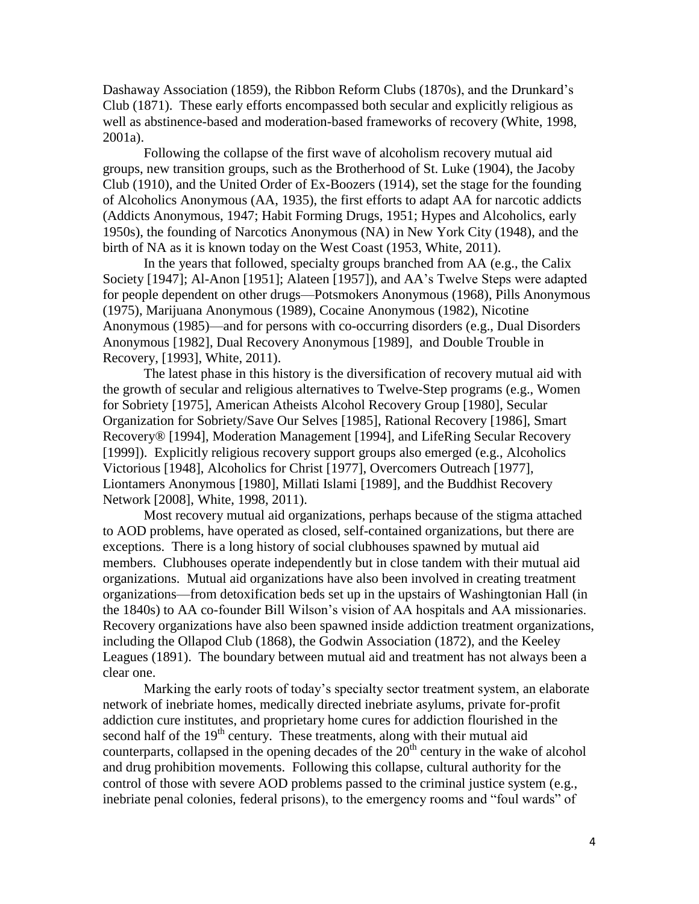Dashaway Association (1859), the Ribbon Reform Clubs (1870s), and the Drunkard's Club (1871). These early efforts encompassed both secular and explicitly religious as well as abstinence-based and moderation-based frameworks of recovery (White, 1998, 2001a).

Following the collapse of the first wave of alcoholism recovery mutual aid groups, new transition groups, such as the Brotherhood of St. Luke (1904), the Jacoby Club (1910), and the United Order of Ex-Boozers (1914), set the stage for the founding of Alcoholics Anonymous (AA, 1935), the first efforts to adapt AA for narcotic addicts (Addicts Anonymous, 1947; Habit Forming Drugs, 1951; Hypes and Alcoholics, early 1950s), the founding of Narcotics Anonymous (NA) in New York City (1948), and the birth of NA as it is known today on the West Coast (1953, White, 2011).

In the years that followed, specialty groups branched from AA (e.g., the Calix Society [1947]; Al-Anon [1951]; Alateen [1957]), and AA's Twelve Steps were adapted for people dependent on other drugs—Potsmokers Anonymous (1968), Pills Anonymous (1975), Marijuana Anonymous (1989), Cocaine Anonymous (1982), Nicotine Anonymous (1985)—and for persons with co-occurring disorders (e.g., Dual Disorders Anonymous [1982], Dual Recovery Anonymous [1989], and Double Trouble in Recovery, [1993], White, 2011).

The latest phase in this history is the diversification of recovery mutual aid with the growth of secular and religious alternatives to Twelve-Step programs (e.g., Women for Sobriety [1975], American Atheists Alcohol Recovery Group [1980], Secular Organization for Sobriety/Save Our Selves [1985], Rational Recovery [1986], Smart Recovery® [1994], Moderation Management [1994], and LifeRing Secular Recovery [1999]). Explicitly religious recovery support groups also emerged (e.g., Alcoholics Victorious [1948], Alcoholics for Christ [1977], Overcomers Outreach [1977], Liontamers Anonymous [1980], Millati Islami [1989], and the Buddhist Recovery Network [2008], White, 1998, 2011).

Most recovery mutual aid organizations, perhaps because of the stigma attached to AOD problems, have operated as closed, self-contained organizations, but there are exceptions. There is a long history of social clubhouses spawned by mutual aid members. Clubhouses operate independently but in close tandem with their mutual aid organizations. Mutual aid organizations have also been involved in creating treatment organizations—from detoxification beds set up in the upstairs of Washingtonian Hall (in the 1840s) to AA co-founder Bill Wilson's vision of AA hospitals and AA missionaries. Recovery organizations have also been spawned inside addiction treatment organizations, including the Ollapod Club (1868), the Godwin Association (1872), and the Keeley Leagues (1891). The boundary between mutual aid and treatment has not always been a clear one.

Marking the early roots of today's specialty sector treatment system, an elaborate network of inebriate homes, medically directed inebriate asylums, private for-profit addiction cure institutes, and proprietary home cures for addiction flourished in the second half of the  $19<sup>th</sup>$  century. These treatments, along with their mutual aid counterparts, collapsed in the opening decades of the  $20<sup>th</sup>$  century in the wake of alcohol and drug prohibition movements. Following this collapse, cultural authority for the control of those with severe AOD problems passed to the criminal justice system (e.g., inebriate penal colonies, federal prisons), to the emergency rooms and "foul wards" of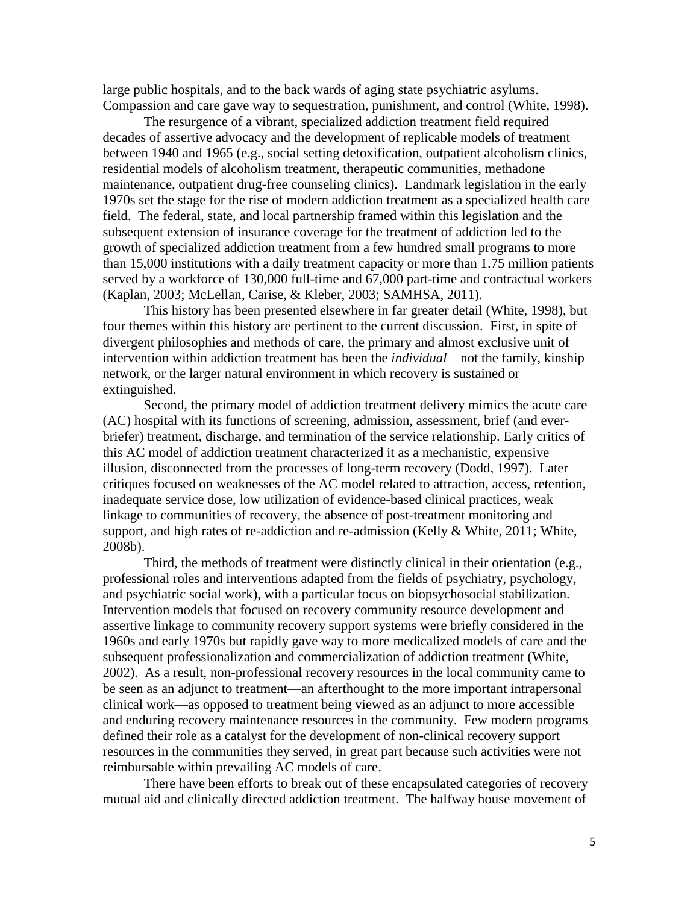large public hospitals, and to the back wards of aging state psychiatric asylums. Compassion and care gave way to sequestration, punishment, and control (White, 1998).

The resurgence of a vibrant, specialized addiction treatment field required decades of assertive advocacy and the development of replicable models of treatment between 1940 and 1965 (e.g., social setting detoxification, outpatient alcoholism clinics, residential models of alcoholism treatment, therapeutic communities, methadone maintenance, outpatient drug-free counseling clinics). Landmark legislation in the early 1970s set the stage for the rise of modern addiction treatment as a specialized health care field. The federal, state, and local partnership framed within this legislation and the subsequent extension of insurance coverage for the treatment of addiction led to the growth of specialized addiction treatment from a few hundred small programs to more than 15,000 institutions with a daily treatment capacity or more than 1.75 million patients served by a workforce of 130,000 full-time and 67,000 part-time and contractual workers (Kaplan, 2003; McLellan, Carise, & Kleber, 2003; SAMHSA, 2011).

This history has been presented elsewhere in far greater detail (White, 1998), but four themes within this history are pertinent to the current discussion. First, in spite of divergent philosophies and methods of care, the primary and almost exclusive unit of intervention within addiction treatment has been the *individual*—not the family, kinship network, or the larger natural environment in which recovery is sustained or extinguished.

Second, the primary model of addiction treatment delivery mimics the acute care (AC) hospital with its functions of screening, admission, assessment, brief (and everbriefer) treatment, discharge, and termination of the service relationship. Early critics of this AC model of addiction treatment characterized it as a mechanistic, expensive illusion, disconnected from the processes of long-term recovery (Dodd, 1997). Later critiques focused on weaknesses of the AC model related to attraction, access, retention, inadequate service dose, low utilization of evidence-based clinical practices, weak linkage to communities of recovery, the absence of post-treatment monitoring and support, and high rates of re-addiction and re-admission (Kelly & White, 2011; White, 2008b).

Third, the methods of treatment were distinctly clinical in their orientation (e.g., professional roles and interventions adapted from the fields of psychiatry, psychology, and psychiatric social work), with a particular focus on biopsychosocial stabilization. Intervention models that focused on recovery community resource development and assertive linkage to community recovery support systems were briefly considered in the 1960s and early 1970s but rapidly gave way to more medicalized models of care and the subsequent professionalization and commercialization of addiction treatment (White, 2002). As a result, non-professional recovery resources in the local community came to be seen as an adjunct to treatment—an afterthought to the more important intrapersonal clinical work—as opposed to treatment being viewed as an adjunct to more accessible and enduring recovery maintenance resources in the community. Few modern programs defined their role as a catalyst for the development of non-clinical recovery support resources in the communities they served, in great part because such activities were not reimbursable within prevailing AC models of care.

There have been efforts to break out of these encapsulated categories of recovery mutual aid and clinically directed addiction treatment. The halfway house movement of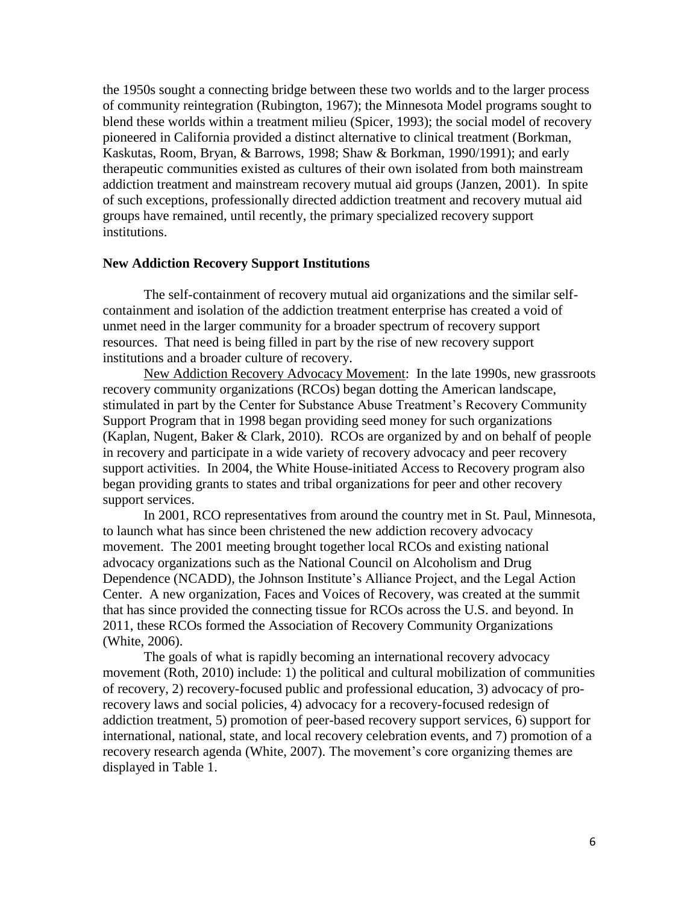the 1950s sought a connecting bridge between these two worlds and to the larger process of community reintegration (Rubington, 1967); the Minnesota Model programs sought to blend these worlds within a treatment milieu (Spicer, 1993); the social model of recovery pioneered in California provided a distinct alternative to clinical treatment (Borkman, Kaskutas, Room, Bryan, & Barrows, 1998; Shaw & Borkman, 1990/1991); and early therapeutic communities existed as cultures of their own isolated from both mainstream addiction treatment and mainstream recovery mutual aid groups (Janzen, 2001). In spite of such exceptions, professionally directed addiction treatment and recovery mutual aid groups have remained, until recently, the primary specialized recovery support institutions.

## **New Addiction Recovery Support Institutions**

The self-containment of recovery mutual aid organizations and the similar selfcontainment and isolation of the addiction treatment enterprise has created a void of unmet need in the larger community for a broader spectrum of recovery support resources. That need is being filled in part by the rise of new recovery support institutions and a broader culture of recovery.

 New Addiction Recovery Advocacy Movement: In the late 1990s, new grassroots recovery community organizations (RCOs) began dotting the American landscape, stimulated in part by the Center for Substance Abuse Treatment's Recovery Community Support Program that in 1998 began providing seed money for such organizations (Kaplan, Nugent, Baker & Clark, 2010). RCOs are organized by and on behalf of people in recovery and participate in a wide variety of recovery advocacy and peer recovery support activities. In 2004, the White House-initiated Access to Recovery program also began providing grants to states and tribal organizations for peer and other recovery support services.

In 2001, RCO representatives from around the country met in St. Paul, Minnesota, to launch what has since been christened the new addiction recovery advocacy movement. The 2001 meeting brought together local RCOs and existing national advocacy organizations such as the National Council on Alcoholism and Drug Dependence (NCADD), the Johnson Institute's Alliance Project, and the Legal Action Center. A new organization, Faces and Voices of Recovery, was created at the summit that has since provided the connecting tissue for RCOs across the U.S. and beyond. In 2011, these RCOs formed the Association of Recovery Community Organizations (White, 2006).

The goals of what is rapidly becoming an international recovery advocacy movement (Roth, 2010) include: 1) the political and cultural mobilization of communities of recovery, 2) recovery-focused public and professional education, 3) advocacy of prorecovery laws and social policies, 4) advocacy for a recovery-focused redesign of addiction treatment, 5) promotion of peer-based recovery support services, 6) support for international, national, state, and local recovery celebration events, and 7) promotion of a recovery research agenda (White, 2007). The movement's core organizing themes are displayed in Table 1.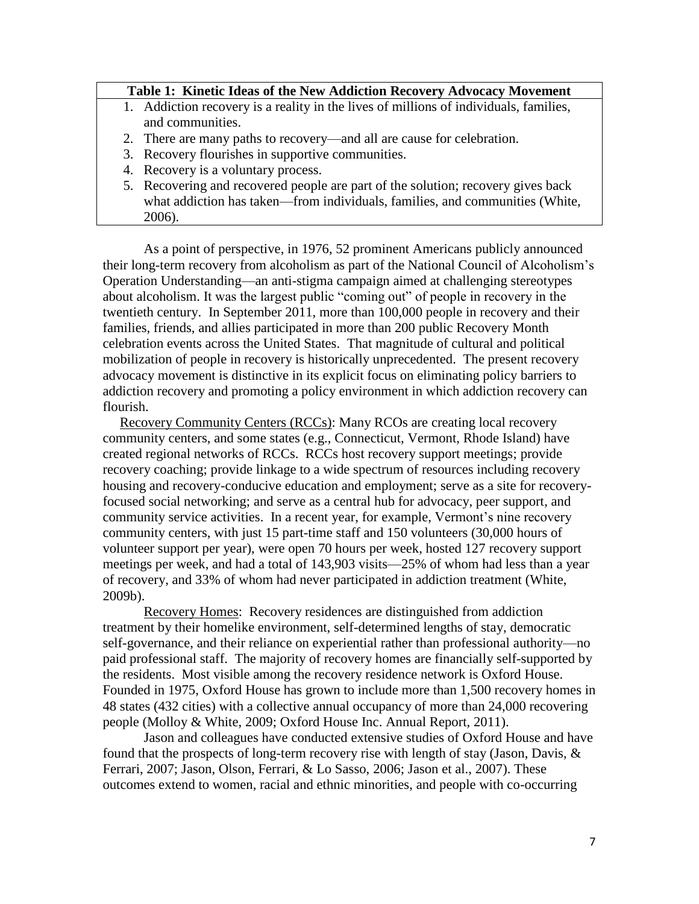## **Table 1: Kinetic Ideas of the New Addiction Recovery Advocacy Movement**

- 1. Addiction recovery is a reality in the lives of millions of individuals, families, and communities.
- 2. There are many paths to recovery—and all are cause for celebration.
- 3. Recovery flourishes in supportive communities.
- 4. Recovery is a voluntary process.
- 5. Recovering and recovered people are part of the solution; recovery gives back what addiction has taken—from individuals, families, and communities (White, 2006).

As a point of perspective, in 1976, 52 prominent Americans publicly announced their long-term recovery from alcoholism as part of the National Council of Alcoholism's Operation Understanding—an anti-stigma campaign aimed at challenging stereotypes about alcoholism. It was the largest public "coming out" of people in recovery in the twentieth century. In September 2011, more than 100,000 people in recovery and their families, friends, and allies participated in more than 200 public Recovery Month celebration events across the United States. That magnitude of cultural and political mobilization of people in recovery is historically unprecedented. The present recovery advocacy movement is distinctive in its explicit focus on eliminating policy barriers to addiction recovery and promoting a policy environment in which addiction recovery can flourish.

Recovery Community Centers (RCCs): Many RCOs are creating local recovery community centers, and some states (e.g., Connecticut, Vermont, Rhode Island) have created regional networks of RCCs. RCCs host recovery support meetings; provide recovery coaching; provide linkage to a wide spectrum of resources including recovery housing and recovery-conducive education and employment; serve as a site for recoveryfocused social networking; and serve as a central hub for advocacy, peer support, and community service activities. In a recent year, for example, Vermont's nine recovery community centers, with just 15 part-time staff and 150 volunteers (30,000 hours of volunteer support per year), were open 70 hours per week, hosted 127 recovery support meetings per week, and had a total of 143,903 visits—25% of whom had less than a year of recovery, and 33% of whom had never participated in addiction treatment (White, 2009b).

Recovery Homes: Recovery residences are distinguished from addiction treatment by their homelike environment, self-determined lengths of stay, democratic self-governance, and their reliance on experiential rather than professional authority—no paid professional staff. The majority of recovery homes are financially self-supported by the residents. Most visible among the recovery residence network is Oxford House. Founded in 1975, Oxford House has grown to include more than 1,500 recovery homes in 48 states (432 cities) with a collective annual occupancy of more than 24,000 recovering people (Molloy & White, 2009; Oxford House Inc. Annual Report, 2011).

Jason and colleagues have conducted extensive studies of Oxford House and have found that the prospects of long-term recovery rise with length of stay (Jason, Davis, & Ferrari, 2007; Jason, Olson, Ferrari, & Lo Sasso, 2006; Jason et al., 2007). These outcomes extend to women, racial and ethnic minorities, and people with co-occurring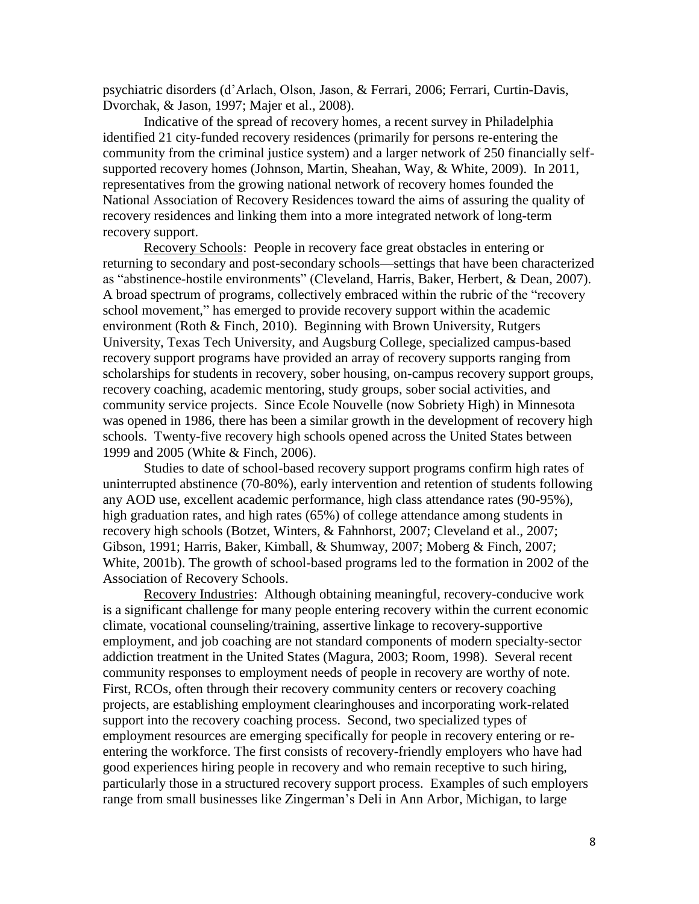psychiatric disorders (d'Arlach, Olson, Jason, & Ferrari, 2006; Ferrari, Curtin-Davis, Dvorchak, & Jason, 1997; Majer et al., 2008).

Indicative of the spread of recovery homes, a recent survey in Philadelphia identified 21 city-funded recovery residences (primarily for persons re-entering the community from the criminal justice system) and a larger network of 250 financially selfsupported recovery homes (Johnson, Martin, Sheahan, Way, & White, 2009). In 2011, representatives from the growing national network of recovery homes founded the National Association of Recovery Residences toward the aims of assuring the quality of recovery residences and linking them into a more integrated network of long-term recovery support.

Recovery Schools: People in recovery face great obstacles in entering or returning to secondary and post-secondary schools—settings that have been characterized as "abstinence-hostile environments" (Cleveland, Harris, Baker, Herbert, & Dean, 2007). A broad spectrum of programs, collectively embraced within the rubric of the "recovery school movement," has emerged to provide recovery support within the academic environment (Roth & Finch, 2010). Beginning with Brown University, Rutgers University, Texas Tech University, and Augsburg College, specialized campus-based recovery support programs have provided an array of recovery supports ranging from scholarships for students in recovery, sober housing, on-campus recovery support groups, recovery coaching, academic mentoring, study groups, sober social activities, and community service projects. Since Ecole Nouvelle (now Sobriety High) in Minnesota was opened in 1986, there has been a similar growth in the development of recovery high schools. Twenty-five recovery high schools opened across the United States between 1999 and 2005 (White & Finch, 2006).

Studies to date of school-based recovery support programs confirm high rates of uninterrupted abstinence (70-80%), early intervention and retention of students following any AOD use, excellent academic performance, high class attendance rates (90-95%), high graduation rates, and high rates (65%) of college attendance among students in recovery high schools (Botzet, Winters, & Fahnhorst, 2007; Cleveland et al., 2007; Gibson, 1991; Harris, Baker, Kimball, & Shumway, 2007; Moberg & Finch, 2007; White, 2001b). The growth of school-based programs led to the formation in 2002 of the Association of Recovery Schools.

Recovery Industries: Although obtaining meaningful, recovery-conducive work is a significant challenge for many people entering recovery within the current economic climate, vocational counseling/training, assertive linkage to recovery-supportive employment, and job coaching are not standard components of modern specialty-sector addiction treatment in the United States (Magura, 2003; Room, 1998). Several recent community responses to employment needs of people in recovery are worthy of note. First, RCOs, often through their recovery community centers or recovery coaching projects, are establishing employment clearinghouses and incorporating work-related support into the recovery coaching process. Second, two specialized types of employment resources are emerging specifically for people in recovery entering or reentering the workforce. The first consists of recovery-friendly employers who have had good experiences hiring people in recovery and who remain receptive to such hiring, particularly those in a structured recovery support process. Examples of such employers range from small businesses like Zingerman's Deli in Ann Arbor, Michigan, to large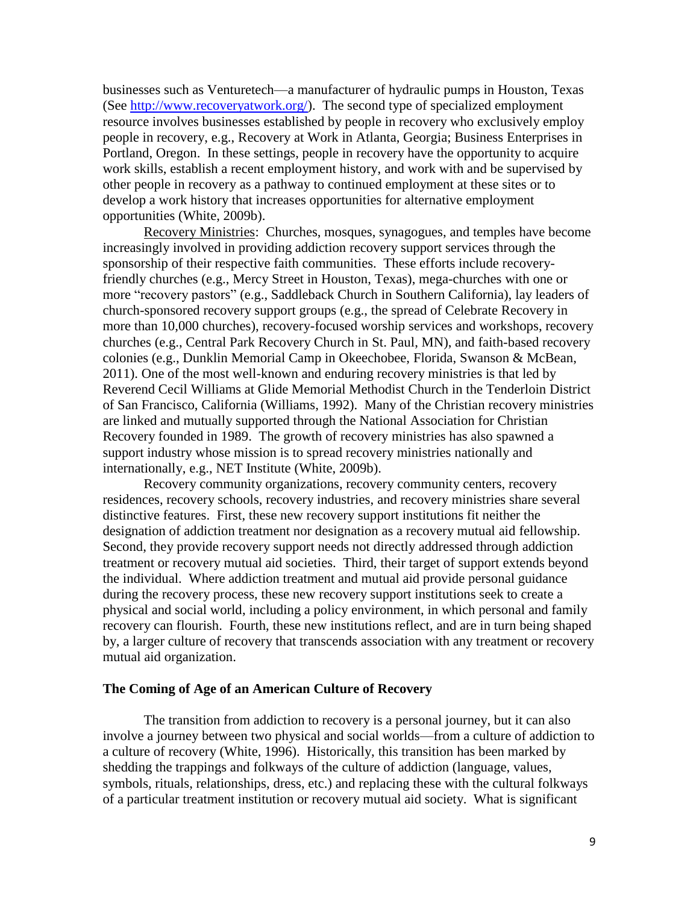businesses such as Venturetech—a manufacturer of hydraulic pumps in Houston, Texas (See [http://www.recoveryatwork.org/\)](http://www.recoveryatwork.org/). The second type of specialized employment resource involves businesses established by people in recovery who exclusively employ people in recovery, e.g., Recovery at Work in Atlanta, Georgia; Business Enterprises in Portland, Oregon. In these settings, people in recovery have the opportunity to acquire work skills, establish a recent employment history, and work with and be supervised by other people in recovery as a pathway to continued employment at these sites or to develop a work history that increases opportunities for alternative employment opportunities (White, 2009b).

Recovery Ministries: Churches, mosques, synagogues, and temples have become increasingly involved in providing addiction recovery support services through the sponsorship of their respective faith communities. These efforts include recoveryfriendly churches (e.g., Mercy Street in Houston, Texas), mega-churches with one or more "recovery pastors" (e.g., Saddleback Church in Southern California), lay leaders of church-sponsored recovery support groups (e.g., the spread of Celebrate Recovery in more than 10,000 churches), recovery-focused worship services and workshops, recovery churches (e.g., Central Park Recovery Church in St. Paul, MN), and faith-based recovery colonies (e.g., Dunklin Memorial Camp in Okeechobee, Florida, Swanson & McBean, 2011). One of the most well-known and enduring recovery ministries is that led by Reverend Cecil Williams at Glide Memorial Methodist Church in the Tenderloin District of San Francisco, California (Williams, 1992). Many of the Christian recovery ministries are linked and mutually supported through the National Association for Christian Recovery founded in 1989. The growth of recovery ministries has also spawned a support industry whose mission is to spread recovery ministries nationally and internationally, e.g., NET Institute (White, 2009b).

Recovery community organizations, recovery community centers, recovery residences, recovery schools, recovery industries, and recovery ministries share several distinctive features. First, these new recovery support institutions fit neither the designation of addiction treatment nor designation as a recovery mutual aid fellowship. Second, they provide recovery support needs not directly addressed through addiction treatment or recovery mutual aid societies. Third, their target of support extends beyond the individual. Where addiction treatment and mutual aid provide personal guidance during the recovery process, these new recovery support institutions seek to create a physical and social world, including a policy environment, in which personal and family recovery can flourish. Fourth, these new institutions reflect, and are in turn being shaped by, a larger culture of recovery that transcends association with any treatment or recovery mutual aid organization.

#### **The Coming of Age of an American Culture of Recovery**

The transition from addiction to recovery is a personal journey, but it can also involve a journey between two physical and social worlds—from a culture of addiction to a culture of recovery (White, 1996). Historically, this transition has been marked by shedding the trappings and folkways of the culture of addiction (language, values, symbols, rituals, relationships, dress, etc.) and replacing these with the cultural folkways of a particular treatment institution or recovery mutual aid society. What is significant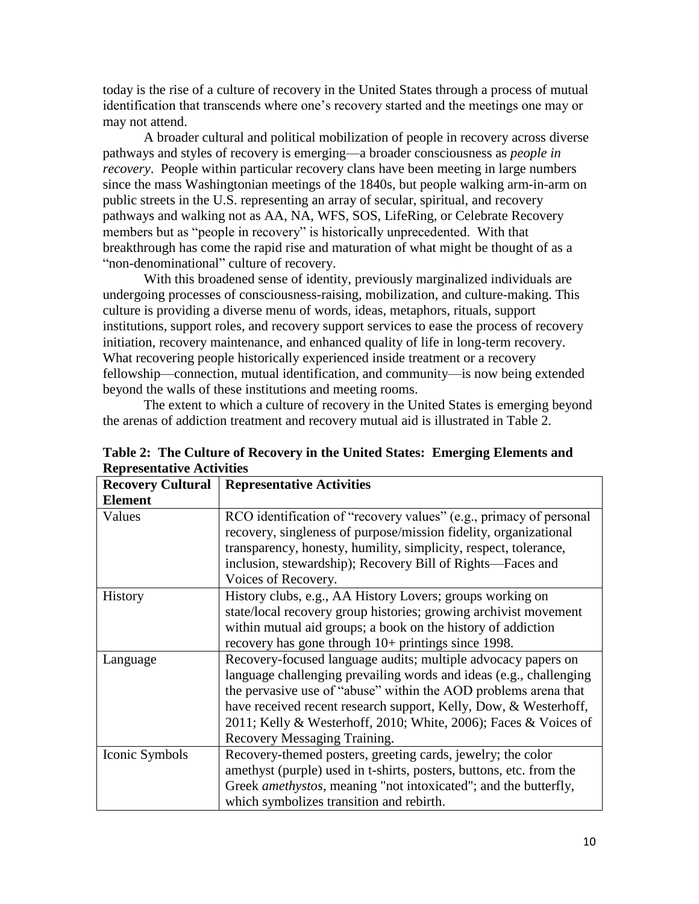today is the rise of a culture of recovery in the United States through a process of mutual identification that transcends where one's recovery started and the meetings one may or may not attend.

A broader cultural and political mobilization of people in recovery across diverse pathways and styles of recovery is emerging—a broader consciousness as *people in recovery*. People within particular recovery clans have been meeting in large numbers since the mass Washingtonian meetings of the 1840s, but people walking arm-in-arm on public streets in the U.S. representing an array of secular, spiritual, and recovery pathways and walking not as AA, NA, WFS, SOS, LifeRing, or Celebrate Recovery members but as "people in recovery" is historically unprecedented. With that breakthrough has come the rapid rise and maturation of what might be thought of as a "non-denominational" culture of recovery.

With this broadened sense of identity, previously marginalized individuals are undergoing processes of consciousness-raising, mobilization, and culture-making. This culture is providing a diverse menu of words, ideas, metaphors, rituals, support institutions, support roles, and recovery support services to ease the process of recovery initiation, recovery maintenance, and enhanced quality of life in long-term recovery. What recovering people historically experienced inside treatment or a recovery fellowship—connection, mutual identification, and community—is now being extended beyond the walls of these institutions and meeting rooms.

The extent to which a culture of recovery in the United States is emerging beyond the arenas of addiction treatment and recovery mutual aid is illustrated in Table 2.

| <b>Recovery Cultural</b> | <b>Representative Activities</b>                                        |
|--------------------------|-------------------------------------------------------------------------|
| <b>Element</b>           |                                                                         |
| Values                   | RCO identification of "recovery values" (e.g., primacy of personal      |
|                          | recovery, singleness of purpose/mission fidelity, organizational        |
|                          | transparency, honesty, humility, simplicity, respect, tolerance,        |
|                          | inclusion, stewardship); Recovery Bill of Rights—Faces and              |
|                          | Voices of Recovery.                                                     |
| <b>History</b>           | History clubs, e.g., AA History Lovers; groups working on               |
|                          | state/local recovery group histories; growing archivist movement        |
|                          | within mutual aid groups; a book on the history of addiction            |
|                          | recovery has gone through 10+ printings since 1998.                     |
| Language                 | Recovery-focused language audits; multiple advocacy papers on           |
|                          | language challenging prevailing words and ideas (e.g., challenging      |
|                          | the pervasive use of "abuse" within the AOD problems arena that         |
|                          | have received recent research support, Kelly, Dow, & Westerhoff,        |
|                          | 2011; Kelly & Westerhoff, 2010; White, 2006); Faces & Voices of         |
|                          | Recovery Messaging Training.                                            |
| Iconic Symbols           | Recovery-themed posters, greeting cards, jewelry; the color             |
|                          | amethyst (purple) used in t-shirts, posters, buttons, etc. from the     |
|                          | Greek <i>amethystos</i> , meaning "not intoxicated"; and the butterfly, |
|                          | which symbolizes transition and rebirth.                                |

**Table 2: The Culture of Recovery in the United States: Emerging Elements and Representative Activities**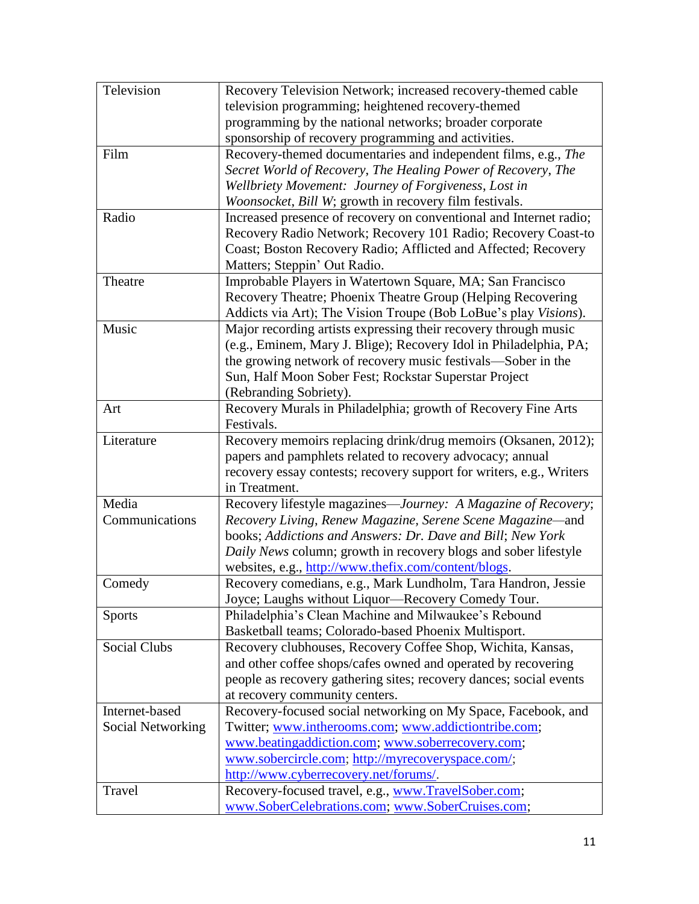| Television          | Recovery Television Network; increased recovery-themed cable         |
|---------------------|----------------------------------------------------------------------|
|                     | television programming; heightened recovery-themed                   |
|                     | programming by the national networks; broader corporate              |
|                     | sponsorship of recovery programming and activities.                  |
| Film                | Recovery-themed documentaries and independent films, e.g., The       |
|                     | Secret World of Recovery, The Healing Power of Recovery, The         |
|                     | Wellbriety Movement: Journey of Forgiveness, Lost in                 |
|                     | Woonsocket, Bill W; growth in recovery film festivals.               |
| Radio               | Increased presence of recovery on conventional and Internet radio;   |
|                     | Recovery Radio Network; Recovery 101 Radio; Recovery Coast-to        |
|                     | Coast; Boston Recovery Radio; Afflicted and Affected; Recovery       |
|                     | Matters; Steppin' Out Radio.                                         |
| Theatre             | Improbable Players in Watertown Square, MA; San Francisco            |
|                     | Recovery Theatre; Phoenix Theatre Group (Helping Recovering          |
|                     | Addicts via Art); The Vision Troupe (Bob LoBue's play Visions).      |
| Music               | Major recording artists expressing their recovery through music      |
|                     | (e.g., Eminem, Mary J. Blige); Recovery Idol in Philadelphia, PA;    |
|                     | the growing network of recovery music festivals—Sober in the         |
|                     | Sun, Half Moon Sober Fest; Rockstar Superstar Project                |
|                     | (Rebranding Sobriety).                                               |
| Art                 | Recovery Murals in Philadelphia; growth of Recovery Fine Arts        |
|                     | Festivals.                                                           |
| Literature          | Recovery memoirs replacing drink/drug memoirs (Oksanen, 2012);       |
|                     | papers and pamphlets related to recovery advocacy; annual            |
|                     | recovery essay contests; recovery support for writers, e.g., Writers |
|                     | in Treatment.                                                        |
| Media               | Recovery lifestyle magazines-Journey: A Magazine of Recovery;        |
| Communications      | Recovery Living, Renew Magazine, Serene Scene Magazine-and           |
|                     | books; Addictions and Answers: Dr. Dave and Bill; New York           |
|                     | Daily News column; growth in recovery blogs and sober lifestyle      |
|                     | websites, e.g., http://www.thefix.com/content/blogs.                 |
| Comedy              | Recovery comedians, e.g., Mark Lundholm, Tara Handron, Jessie        |
|                     | Joyce; Laughs without Liquor-Recovery Comedy Tour.                   |
|                     | Philadelphia's Clean Machine and Milwaukee's Rebound                 |
| <b>Sports</b>       | Basketball teams; Colorado-based Phoenix Multisport.                 |
| <b>Social Clubs</b> | Recovery clubhouses, Recovery Coffee Shop, Wichita, Kansas,          |
|                     | and other coffee shops/cafes owned and operated by recovering        |
|                     | people as recovery gathering sites; recovery dances; social events   |
|                     | at recovery community centers.                                       |
| Internet-based      |                                                                      |
|                     | Recovery-focused social networking on My Space, Facebook, and        |
| Social Networking   | Twitter; www.intherooms.com; www.addictiontribe.com;                 |
|                     | www.beatingaddiction.com; www.soberrecovery.com;                     |
|                     | www.sobercircle.com; http://myrecoveryspace.com/;                    |
|                     | http://www.cyberrecovery.net/forums/.                                |
| Travel              | Recovery-focused travel, e.g., www.TravelSober.com;                  |
|                     | www.SoberCelebrations.com; www.SoberCruises.com;                     |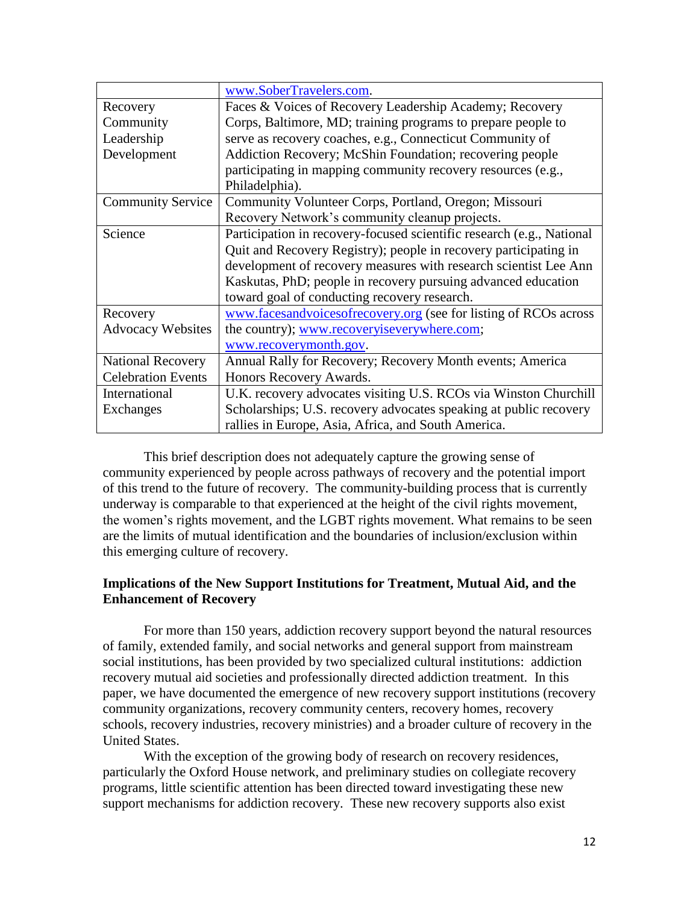|                           | www.SoberTravelers.com.                                               |
|---------------------------|-----------------------------------------------------------------------|
| Recovery                  | Faces & Voices of Recovery Leadership Academy; Recovery               |
| Community                 | Corps, Baltimore, MD; training programs to prepare people to          |
| Leadership                | serve as recovery coaches, e.g., Connecticut Community of             |
| Development               | Addiction Recovery; McShin Foundation; recovering people              |
|                           | participating in mapping community recovery resources (e.g.,          |
|                           | Philadelphia).                                                        |
| <b>Community Service</b>  | Community Volunteer Corps, Portland, Oregon; Missouri                 |
|                           | Recovery Network's community cleanup projects.                        |
| Science                   | Participation in recovery-focused scientific research (e.g., National |
|                           | Quit and Recovery Registry); people in recovery participating in      |
|                           | development of recovery measures with research scientist Lee Ann      |
|                           | Kaskutas, PhD; people in recovery pursuing advanced education         |
|                           | toward goal of conducting recovery research.                          |
| Recovery                  | www.facesandvoicesofrecovery.org (see for listing of RCOs across      |
| <b>Advocacy Websites</b>  | the country); www.recoveryiseverywhere.com;                           |
|                           | www.recoverymonth.gov.                                                |
| <b>National Recovery</b>  | Annual Rally for Recovery; Recovery Month events; America             |
| <b>Celebration Events</b> | Honors Recovery Awards.                                               |
| International             | U.K. recovery advocates visiting U.S. RCOs via Winston Churchill      |
| Exchanges                 | Scholarships; U.S. recovery advocates speaking at public recovery     |
|                           | rallies in Europe, Asia, Africa, and South America.                   |

This brief description does not adequately capture the growing sense of community experienced by people across pathways of recovery and the potential import of this trend to the future of recovery. The community-building process that is currently underway is comparable to that experienced at the height of the civil rights movement, the women's rights movement, and the LGBT rights movement. What remains to be seen are the limits of mutual identification and the boundaries of inclusion/exclusion within this emerging culture of recovery.

# **Implications of the New Support Institutions for Treatment, Mutual Aid, and the Enhancement of Recovery**

For more than 150 years, addiction recovery support beyond the natural resources of family, extended family, and social networks and general support from mainstream social institutions, has been provided by two specialized cultural institutions: addiction recovery mutual aid societies and professionally directed addiction treatment. In this paper, we have documented the emergence of new recovery support institutions (recovery community organizations, recovery community centers, recovery homes, recovery schools, recovery industries, recovery ministries) and a broader culture of recovery in the United States.

With the exception of the growing body of research on recovery residences, particularly the Oxford House network, and preliminary studies on collegiate recovery programs, little scientific attention has been directed toward investigating these new support mechanisms for addiction recovery. These new recovery supports also exist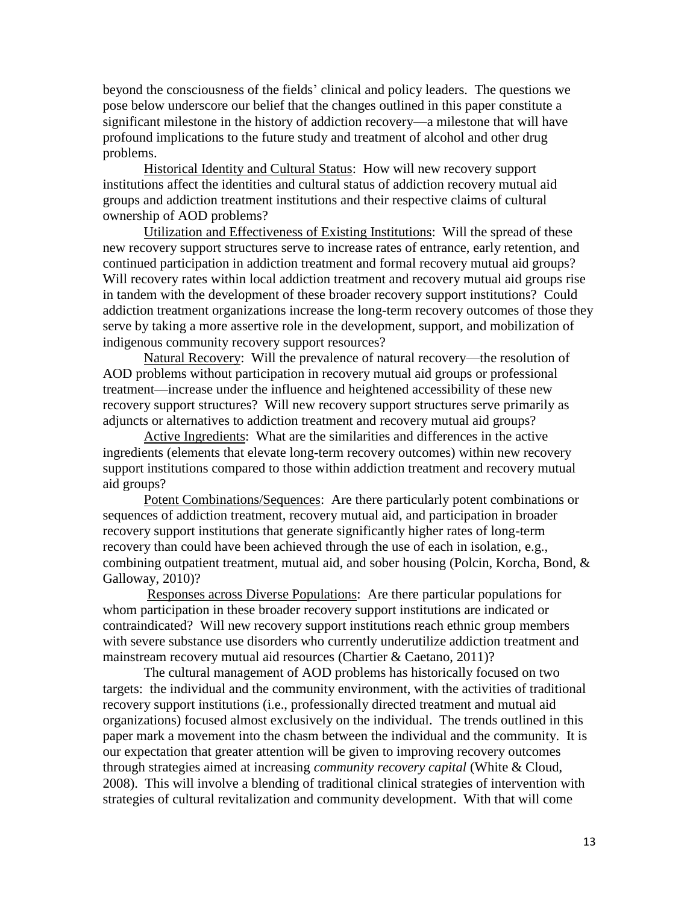beyond the consciousness of the fields' clinical and policy leaders. The questions we pose below underscore our belief that the changes outlined in this paper constitute a significant milestone in the history of addiction recovery—a milestone that will have profound implications to the future study and treatment of alcohol and other drug problems.

Historical Identity and Cultural Status: How will new recovery support institutions affect the identities and cultural status of addiction recovery mutual aid groups and addiction treatment institutions and their respective claims of cultural ownership of AOD problems?

Utilization and Effectiveness of Existing Institutions: Will the spread of these new recovery support structures serve to increase rates of entrance, early retention, and continued participation in addiction treatment and formal recovery mutual aid groups? Will recovery rates within local addiction treatment and recovery mutual aid groups rise in tandem with the development of these broader recovery support institutions? Could addiction treatment organizations increase the long-term recovery outcomes of those they serve by taking a more assertive role in the development, support, and mobilization of indigenous community recovery support resources?

Natural Recovery: Will the prevalence of natural recovery—the resolution of AOD problems without participation in recovery mutual aid groups or professional treatment—increase under the influence and heightened accessibility of these new recovery support structures? Will new recovery support structures serve primarily as adjuncts or alternatives to addiction treatment and recovery mutual aid groups?

Active Ingredients: What are the similarities and differences in the active ingredients (elements that elevate long-term recovery outcomes) within new recovery support institutions compared to those within addiction treatment and recovery mutual aid groups?

Potent Combinations/Sequences: Are there particularly potent combinations or sequences of addiction treatment, recovery mutual aid, and participation in broader recovery support institutions that generate significantly higher rates of long-term recovery than could have been achieved through the use of each in isolation, e.g., combining outpatient treatment, mutual aid, and sober housing (Polcin, Korcha, Bond, & Galloway, 2010)?

Responses across Diverse Populations: Are there particular populations for whom participation in these broader recovery support institutions are indicated or contraindicated? Will new recovery support institutions reach ethnic group members with severe substance use disorders who currently underutilize addiction treatment and mainstream recovery mutual aid resources (Chartier & Caetano, 2011)?

The cultural management of AOD problems has historically focused on two targets: the individual and the community environment, with the activities of traditional recovery support institutions (i.e., professionally directed treatment and mutual aid organizations) focused almost exclusively on the individual. The trends outlined in this paper mark a movement into the chasm between the individual and the community. It is our expectation that greater attention will be given to improving recovery outcomes through strategies aimed at increasing *community recovery capital* (White & Cloud, 2008). This will involve a blending of traditional clinical strategies of intervention with strategies of cultural revitalization and community development. With that will come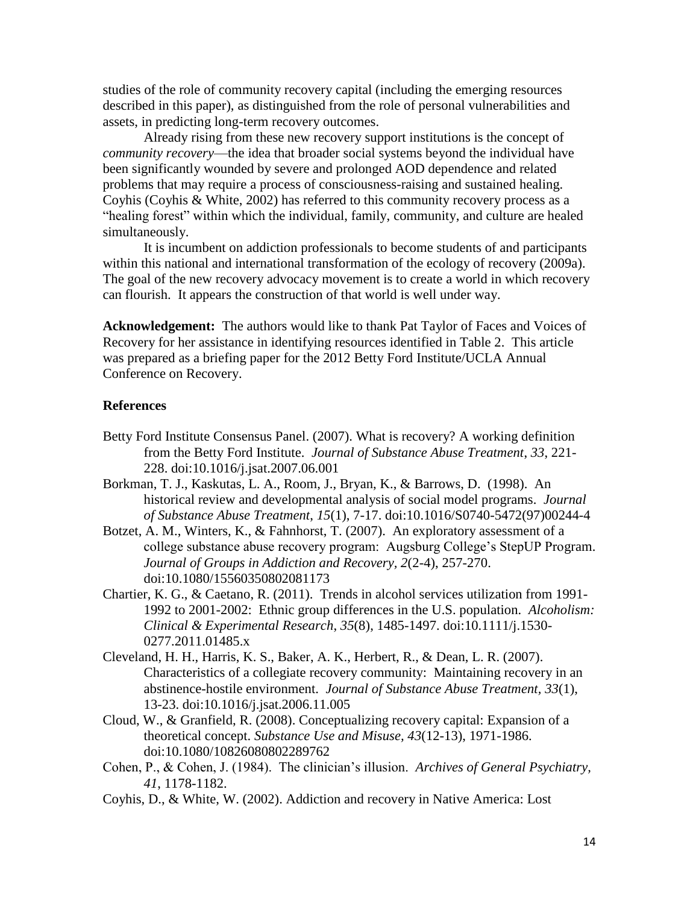studies of the role of community recovery capital (including the emerging resources described in this paper), as distinguished from the role of personal vulnerabilities and assets, in predicting long-term recovery outcomes.

Already rising from these new recovery support institutions is the concept of *community recovery*—the idea that broader social systems beyond the individual have been significantly wounded by severe and prolonged AOD dependence and related problems that may require a process of consciousness-raising and sustained healing. Coyhis (Coyhis & White, 2002) has referred to this community recovery process as a "healing forest" within which the individual, family, community, and culture are healed simultaneously.

It is incumbent on addiction professionals to become students of and participants within this national and international transformation of the ecology of recovery (2009a). The goal of the new recovery advocacy movement is to create a world in which recovery can flourish. It appears the construction of that world is well under way.

**Acknowledgement:** The authors would like to thank Pat Taylor of Faces and Voices of Recovery for her assistance in identifying resources identified in Table 2. This article was prepared as a briefing paper for the 2012 Betty Ford Institute/UCLA Annual Conference on Recovery.

## **References**

- Betty Ford Institute Consensus Panel. (2007). What is recovery? A working definition from the Betty Ford Institute. *Journal of Substance Abuse Treatment*, *33*, 221- 228. doi:10.1016/j.jsat.2007.06.001
- Borkman, T. J., Kaskutas, L. A., Room, J., Bryan, K., & Barrows, D. (1998). An historical review and developmental analysis of social model programs. *Journal of Substance Abuse Treatment*, *15*(1), 7-17. doi:10.1016/S0740-5472(97)00244-4
- Botzet, A. M., Winters, K., & Fahnhorst, T. (2007). An exploratory assessment of a college substance abuse recovery program: Augsburg College's StepUP Program. *Journal of Groups in Addiction and Recovery, 2*(2-4), 257-270. doi:10.1080/15560350802081173
- Chartier, K. G., & Caetano, R. (2011). Trends in alcohol services utilization from 1991- 1992 to 2001-2002: Ethnic group differences in the U.S. population. *Alcoholism: Clinical & Experimental Research*, *35*(8), 1485-1497. doi:10.1111/j.1530- 0277.2011.01485.x
- Cleveland, H. H., Harris, K. S., Baker, A. K., Herbert, R., & Dean, L. R. (2007). Characteristics of a collegiate recovery community: Maintaining recovery in an abstinence-hostile environment. *Journal of Substance Abuse Treatment, 33*(1), 13-23. doi:10.1016/j.jsat.2006.11.005
- Cloud, W., & Granfield, R. (2008). Conceptualizing recovery capital: Expansion of a theoretical concept. *Substance Use and Misuse, 43*(12-13), 1971-1986. doi:10.1080/10826080802289762
- Cohen, P., & Cohen, J. (1984). The clinician's illusion. *Archives of General Psychiatry, 41*, 1178-1182.
- Coyhis, D., & White, W. (2002). Addiction and recovery in Native America: Lost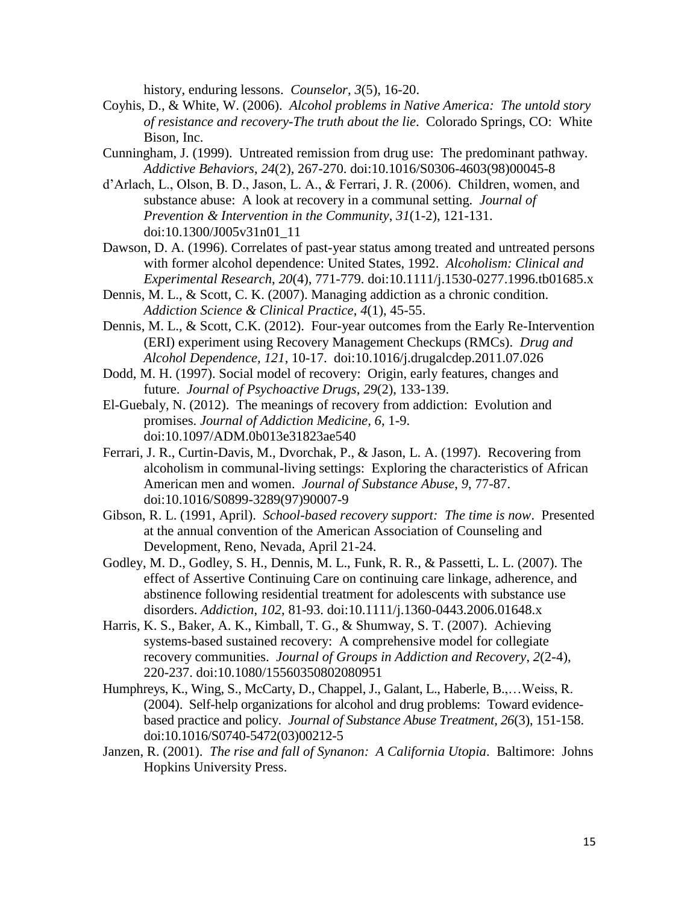history, enduring lessons. *Counselor, 3*(5), 16-20.

- Coyhis, D., & White, W. (2006). *Alcohol problems in Native America: The untold story of resistance and recovery-The truth about the lie*. Colorado Springs, CO: White Bison, Inc.
- Cunningham, J. (1999). Untreated remission from drug use: The predominant pathway. *Addictive Behaviors*, *24*(2), 267-270. doi:10.1016/S0306-4603(98)00045-8
- d'Arlach, L., Olson, B. D., Jason, L. A., & Ferrari, J. R. (2006). Children, women, and substance abuse: A look at recovery in a communal setting. *Journal of Prevention & Intervention in the Community*, *31*(1-2), 121-131. doi:10.1300/J005v31n01\_11
- Dawson, D. A. (1996). Correlates of past-year status among treated and untreated persons with former alcohol dependence: United States, 1992. *Alcoholism: Clinical and Experimental Research*, *20*(4), 771-779. doi:10.1111/j.1530-0277.1996.tb01685.x
- Dennis, M. L., & Scott, C. K. (2007). Managing addiction as a chronic condition. *Addiction Science & Clinical Practice*, *4*(1), 45-55.
- Dennis, M. L., & Scott, C.K. (2012). Four-year outcomes from the Early Re-Intervention (ERI) experiment using Recovery Management Checkups (RMCs). *Drug and Alcohol Dependence, 121*, 10-17. doi:10.1016/j.drugalcdep.2011.07.026
- Dodd, M. H. (1997). Social model of recovery: Origin, early features, changes and future. *Journal of Psychoactive Drugs*, *29*(2), 133-139.
- El-Guebaly, N. (2012). The meanings of recovery from addiction: Evolution and promises. *Journal of Addiction Medicine, 6*, 1-9. doi:10.1097/ADM.0b013e31823ae540
- Ferrari, J. R., Curtin-Davis, M., Dvorchak, P., & Jason, L. A. (1997). Recovering from alcoholism in communal-living settings: Exploring the characteristics of African American men and women. *Journal of Substance Abuse*, *9*, 77-87. doi:10.1016/S0899-3289(97)90007-9
- Gibson, R. L. (1991, April). *School-based recovery support: The time is now*. Presented at the annual convention of the American Association of Counseling and Development, Reno, Nevada, April 21-24.
- Godley, M. D., Godley, S. H., Dennis, M. L., Funk, R. R., & Passetti, L. L. (2007). The effect of Assertive Continuing Care on continuing care linkage, adherence, and abstinence following residential treatment for adolescents with substance use disorders. *Addiction*, *102*, 81-93. doi:10.1111/j.1360-0443.2006.01648.x
- Harris, K. S., Baker, A. K., Kimball, T. G., & Shumway, S. T. (2007). Achieving systems-based sustained recovery: A comprehensive model for collegiate recovery communities. *Journal of Groups in Addiction and Recovery*, *2*(2-4), 220-237. doi:10.1080/15560350802080951
- Humphreys, K., Wing, S., McCarty, D., Chappel, J., Galant, L., Haberle, B.,…Weiss, R. (2004). Self-help organizations for alcohol and drug problems: Toward evidencebased practice and policy. *Journal of Substance Abuse Treatment*, *26*(3), 151-158. doi:10.1016/S0740-5472(03)00212-5
- Janzen, R. (2001). *The rise and fall of Synanon: A California Utopia*. Baltimore: Johns Hopkins University Press.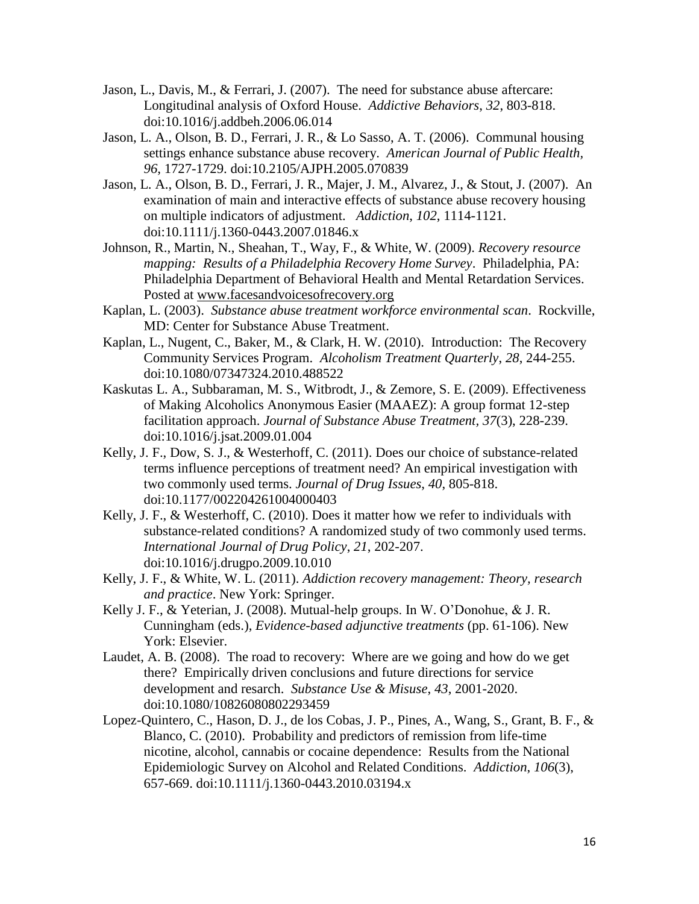- Jason, L., Davis, M., & Ferrari, J. (2007). The need for substance abuse aftercare: Longitudinal analysis of Oxford House. *Addictive Behaviors*, *32*, 803-818. doi:10.1016/j.addbeh.2006.06.014
- Jason, L. A., Olson, B. D., Ferrari, J. R., & Lo Sasso, A. T. (2006). Communal housing settings enhance substance abuse recovery. *American Journal of Public Health, 96*, 1727-1729. doi:10.2105/AJPH.2005.070839
- Jason, L. A., Olson, B. D., Ferrari, J. R., Majer, J. M., Alvarez, J., & Stout, J. (2007). An examination of main and interactive effects of substance abuse recovery housing on multiple indicators of adjustment. *Addiction*, *102*, 1114-1121. doi:10.1111/j.1360-0443.2007.01846.x
- Johnson, R., Martin, N., Sheahan, T., Way, F., & White, W. (2009). *Recovery resource mapping: Results of a Philadelphia Recovery Home Survey*. Philadelphia, PA: Philadelphia Department of Behavioral Health and Mental Retardation Services. Posted at [www.facesandvoicesofrecovery.org](http://www.facesandvoicesofrecovery.org/)
- Kaplan, L. (2003). *Substance abuse treatment workforce environmental scan*. Rockville, MD: Center for Substance Abuse Treatment.
- Kaplan, L., Nugent, C., Baker, M., & Clark, H. W. (2010). Introduction: The Recovery Community Services Program. *Alcoholism Treatment Quarterly*, *28*, 244-255. doi:10.1080/07347324.2010.488522
- Kaskutas L. A., Subbaraman, M. S., Witbrodt, J., & Zemore, S. E. (2009). Effectiveness of Making Alcoholics Anonymous Easier (MAAEZ): A group format 12-step facilitation approach. *Journal of Substance Abuse Treatment, 37*(3), 228-239. doi:10.1016/j.jsat.2009.01.004
- Kelly, J. F., Dow, S. J., & Westerhoff, C. (2011). Does our choice of substance-related terms influence perceptions of treatment need? An empirical investigation with two commonly used terms. *Journal of Drug Issues*, *40*, 805-818. doi:10.1177/002204261004000403
- Kelly, J. F., & Westerhoff, C. (2010). Does it matter how we refer to individuals with substance-related conditions? A randomized study of two commonly used terms. *International Journal of Drug Policy*, *21*, 202-207. doi:10.1016/j.drugpo.2009.10.010
- Kelly, J. F., & White, W. L. (2011). *Addiction recovery management: Theory, research and practice*. New York: Springer.
- Kelly J. F., & Yeterian, J. (2008). Mutual-help groups. In W. O'Donohue, & J. R. Cunningham (eds.), *Evidence-based adjunctive treatments* (pp. 61-106). New York: Elsevier.
- Laudet, A. B. (2008). The road to recovery: Where are we going and how do we get there? Empirically driven conclusions and future directions for service development and resarch. *Substance Use & Misuse*, *43*, 2001-2020. doi:10.1080/10826080802293459
- Lopez-Quintero, C., Hason, D. J., de los Cobas, J. P., Pines, A., Wang, S., Grant, B. F., & Blanco, C. (2010). Probability and predictors of remission from life-time nicotine, alcohol, cannabis or cocaine dependence: Results from the National Epidemiologic Survey on Alcohol and Related Conditions. *Addiction*, *106*(3), 657-669. doi:10.1111/j.1360-0443.2010.03194.x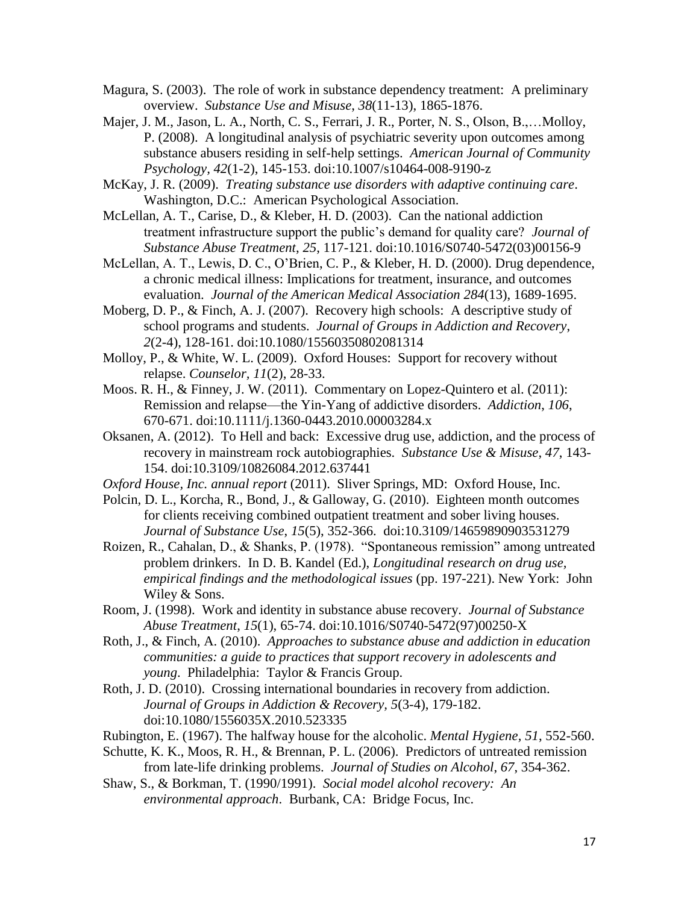- Magura, S. (2003). The role of work in substance dependency treatment: A preliminary overview. *Substance Use and Misuse*, *38*(11-13), 1865-1876.
- Majer, J. M., Jason, L. A., North, C. S., Ferrari, J. R., Porter, N. S., Olson, B.,...Molloy, P. (2008). A longitudinal analysis of psychiatric severity upon outcomes among substance abusers residing in self-help settings. *American Journal of Community Psychology, 42*(1-2), 145-153. doi:10.1007/s10464-008-9190-z
- McKay, J. R. (2009). *Treating substance use disorders with adaptive continuing care*. Washington, D.C.: American Psychological Association.
- McLellan, A. T., Carise, D., & Kleber, H. D. (2003). Can the national addiction treatment infrastructure support the public's demand for quality care? *Journal of Substance Abuse Treatment*, *25*, 117-121. doi:10.1016/S0740-5472(03)00156-9
- McLellan, A. T., Lewis, D. C., O'Brien, C. P., & Kleber, H. D. (2000). Drug dependence, a chronic medical illness: Implications for treatment, insurance, and outcomes evaluation. *Journal of the American Medical Association 284*(13), 1689-1695.
- Moberg, D. P., & Finch, A. J. (2007). Recovery high schools: A descriptive study of school programs and students. *Journal of Groups in Addiction and Recovery*, *2*(2-4), 128-161. doi:10.1080/15560350802081314
- Molloy, P., & White, W. L. (2009). Oxford Houses: Support for recovery without relapse. *Counselor, 11*(2), 28-33.
- Moos. R. H., & Finney, J. W. (2011). Commentary on Lopez-Quintero et al. (2011): Remission and relapse—the Yin-Yang of addictive disorders. *Addiction*, *106*, 670-671. doi:10.1111/j.1360-0443.2010.00003284.x
- Oksanen, A. (2012). To Hell and back: Excessive drug use, addiction, and the process of recovery in mainstream rock autobiographies. *Substance Use & Misuse*, *47*, 143- 154. doi:10.3109/10826084.2012.637441
- *Oxford House, Inc. annual report* (2011). Sliver Springs, MD: Oxford House, Inc.
- Polcin, D. L., Korcha, R., Bond, J., & Galloway, G. (2010). Eighteen month outcomes for clients receiving combined outpatient treatment and sober living houses. *Journal of Substance Use*, *15*(5), 352-366. doi:10.3109/14659890903531279
- Roizen, R., Cahalan, D., & Shanks, P. (1978). "Spontaneous remission" among untreated problem drinkers. In D. B. Kandel (Ed.), *Longitudinal research on drug use, empirical findings and the methodological issues* (pp. 197-221). New York: John Wiley & Sons.
- Room, J. (1998). Work and identity in substance abuse recovery. *Journal of Substance Abuse Treatment*, *15*(1), 65-74. doi:10.1016/S0740-5472(97)00250-X
- Roth, J., & Finch, A. (2010). *Approaches to substance abuse and addiction in education communities: a guide to practices that support recovery in adolescents and young*. Philadelphia: Taylor & Francis Group.
- Roth, J. D. (2010). Crossing international boundaries in recovery from addiction. *Journal of Groups in Addiction & Recovery, 5*(3-4), 179-182. doi:10.1080/1556035X.2010.523335
- Rubington, E. (1967). The halfway house for the alcoholic. *Mental Hygiene, 51*, 552-560.
- Schutte, K. K., Moos, R. H., & Brennan, P. L. (2006). Predictors of untreated remission from late-life drinking problems. *Journal of Studies on Alcohol*, *67*, 354-362.
- Shaw, S., & Borkman, T. (1990/1991). *Social model alcohol recovery: An environmental approach*. Burbank, CA: Bridge Focus, Inc.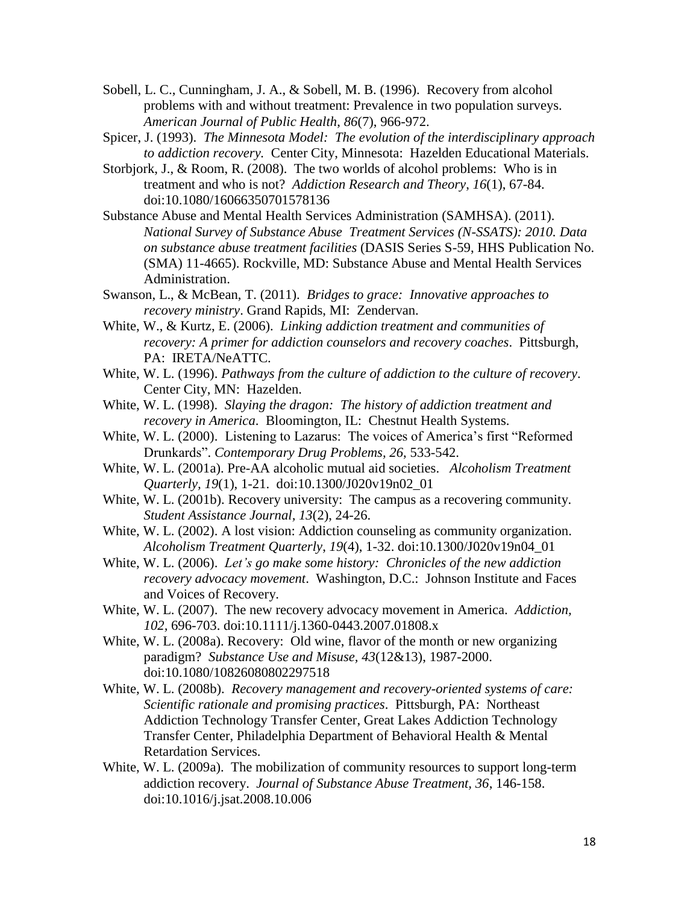- Sobell, L. C., Cunningham, J. A., & Sobell, M. B. (1996). Recovery from alcohol problems with and without treatment: Prevalence in two population surveys. *American Journal of Public Health*, *86*(7), 966-972.
- Spicer, J. (1993). *The Minnesota Model: The evolution of the interdisciplinary approach to addiction recovery.* Center City, Minnesota: Hazelden Educational Materials.
- Storbjork, J., & Room, R. (2008). The two worlds of alcohol problems: Who is in treatment and who is not? *Addiction Research and Theory*, *16*(1), 67-84. doi:10.1080/16066350701578136
- Substance Abuse and Mental Health Services Administration (SAMHSA). (2011). *National Survey of Substance Abuse Treatment Services (N-SSATS): 2010. Data on substance abuse treatment facilities* (DASIS Series S-59, HHS Publication No. (SMA) 11-4665). Rockville, MD: Substance Abuse and Mental Health Services Administration.
- Swanson, L., & McBean, T. (2011). *Bridges to grace: Innovative approaches to recovery ministry*. Grand Rapids, MI: Zendervan.
- White, W., & Kurtz, E. (2006). *Linking addiction treatment and communities of recovery: A primer for addiction counselors and recovery coaches*. Pittsburgh, PA: IRETA/NeATTC.
- White, W. L. (1996). *Pathways from the culture of addiction to the culture of recovery*. Center City, MN: Hazelden.
- White, W. L. (1998). *Slaying the dragon: The history of addiction treatment and recovery in America*. Bloomington, IL: Chestnut Health Systems.
- White, W. L. (2000). Listening to Lazarus: The voices of America's first "Reformed Drunkards". *Contemporary Drug Problems, 26*, 533-542.
- White, W. L. (2001a). Pre-AA alcoholic mutual aid societies. *Alcoholism Treatment Quarterly, 19*(1), 1-21. doi:10.1300/J020v19n02\_01
- White, W. L. (2001b). Recovery university: The campus as a recovering community. *Student Assistance Journal, 13*(2), 24-26.
- White, W. L. (2002). A lost vision: Addiction counseling as community organization. *Alcoholism Treatment Quarterly*, *19*(4), 1-32. doi:10.1300/J020v19n04\_01
- White, W. L. (2006). *Let's go make some history: Chronicles of the new addiction recovery advocacy movement*. Washington, D.C.: Johnson Institute and Faces and Voices of Recovery.
- White, W. L. (2007). The new recovery advocacy movement in America. *Addiction, 102,* 696-703. doi:10.1111/j.1360-0443.2007.01808.x
- White, W. L. (2008a). Recovery: Old wine, flavor of the month or new organizing paradigm? *Substance Use and Misuse, 43*(12&13), 1987-2000. doi:10.1080/10826080802297518
- White, W. L. (2008b). *Recovery management and recovery-oriented systems of care: Scientific rationale and promising practices*. Pittsburgh, PA: Northeast Addiction Technology Transfer Center, Great Lakes Addiction Technology Transfer Center, Philadelphia Department of Behavioral Health & Mental Retardation Services.
- White, W. L. (2009a). The mobilization of community resources to support long-term addiction recovery. *Journal of Substance Abuse Treatment, 36*, 146-158. doi:10.1016/j.jsat.2008.10.006